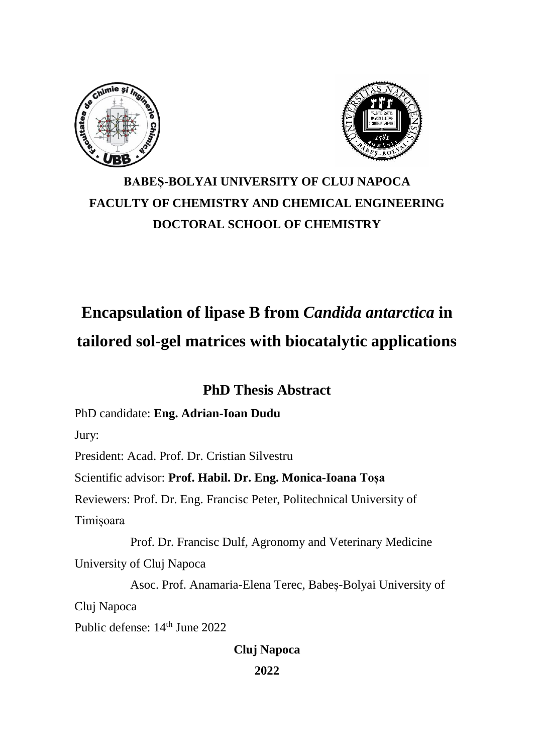



# **BABEȘ-BOLYAI UNIVERSITY OF CLUJ NAPOCA FACULTY OF CHEMISTRY AND CHEMICAL ENGINEERING DOCTORAL SCHOOL OF CHEMISTRY**

# **Encapsulation of lipase B from** *Candida antarctica* **in tailored sol-gel matrices with biocatalytic applications**

# **PhD Thesis Abstract**

PhD candidate: **Eng. Adrian-Ioan Dudu**

Jury:

President: Acad. Prof. Dr. Cristian Silvestru

Scientific advisor: **Prof. Habil. Dr. Eng. Monica-Ioana Toșa**

Reviewers: Prof. Dr. Eng. Francisc Peter, Politechnical University of Timișoara

 Prof. Dr. Francisc Dulf, Agronomy and Veterinary Medicine University of Cluj Napoca

 Asoc. Prof. Anamaria-Elena Terec, Babeș-Bolyai University of Cluj Napoca Public defense:  $14<sup>th</sup>$  June 2022

# **Cluj Napoca**

**2022**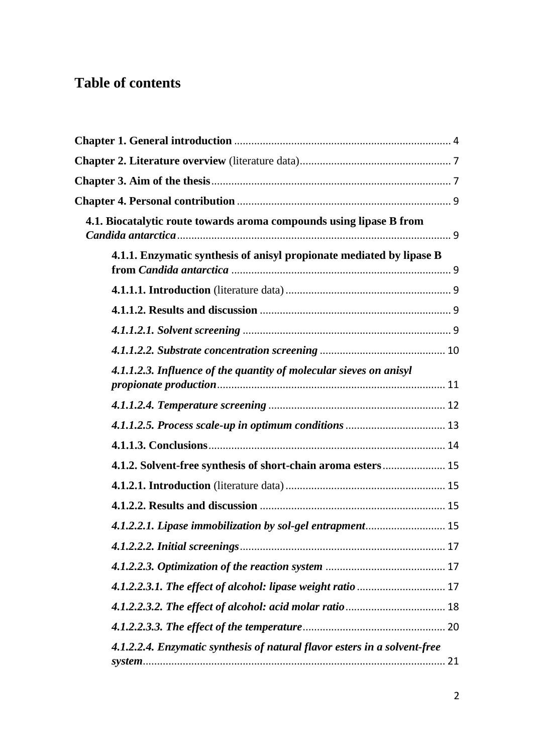# **Table of contents**

| 4.1. Biocatalytic route towards aroma compounds using lipase B from       |  |
|---------------------------------------------------------------------------|--|
| 4.1.1. Enzymatic synthesis of anisyl propionate mediated by lipase B      |  |
|                                                                           |  |
|                                                                           |  |
|                                                                           |  |
|                                                                           |  |
| 4.1.1.2.3. Influence of the quantity of molecular sieves on anisyl        |  |
|                                                                           |  |
|                                                                           |  |
|                                                                           |  |
| 4.1.2. Solvent-free synthesis of short-chain aroma esters 15              |  |
|                                                                           |  |
|                                                                           |  |
| 4.1.2.2.1. Lipase immobilization by sol-gel entrapment 15                 |  |
|                                                                           |  |
|                                                                           |  |
| 4.1.2.2.3.1. The effect of alcohol: lipase weight ratio  17               |  |
|                                                                           |  |
|                                                                           |  |
| 4.1.2.2.4. Enzymatic synthesis of natural flavor esters in a solvent-free |  |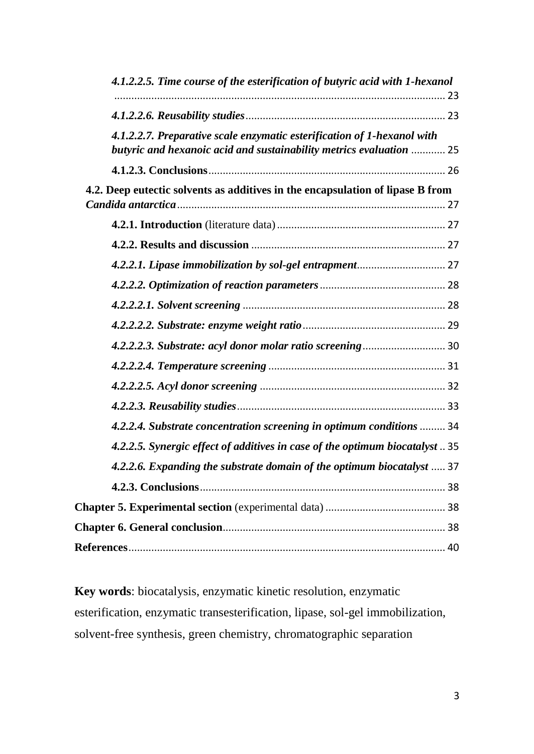| 4.1.2.2.5. Time course of the esterification of butyric acid with 1-hexanol                                                                    |  |
|------------------------------------------------------------------------------------------------------------------------------------------------|--|
|                                                                                                                                                |  |
| 4.1.2.2.7. Preparative scale enzymatic esterification of 1-hexanol with<br>butyric and hexanoic acid and sustainability metrics evaluation  25 |  |
|                                                                                                                                                |  |
| 4.2. Deep eutectic solvents as additives in the encapsulation of lipase B from                                                                 |  |
|                                                                                                                                                |  |
|                                                                                                                                                |  |
|                                                                                                                                                |  |
|                                                                                                                                                |  |
|                                                                                                                                                |  |
|                                                                                                                                                |  |
|                                                                                                                                                |  |
|                                                                                                                                                |  |
|                                                                                                                                                |  |
|                                                                                                                                                |  |
| 4.2.2.4. Substrate concentration screening in optimum conditions  34                                                                           |  |
| 4.2.2.5. Synergic effect of additives in case of the optimum biocatalyst  35                                                                   |  |
| 4.2.2.6. Expanding the substrate domain of the optimum biocatalyst  37                                                                         |  |
|                                                                                                                                                |  |
|                                                                                                                                                |  |
|                                                                                                                                                |  |
|                                                                                                                                                |  |

**Key words**: biocatalysis, enzymatic kinetic resolution, enzymatic esterification, enzymatic transesterification, lipase, sol-gel immobilization, solvent-free synthesis, green chemistry, chromatographic separation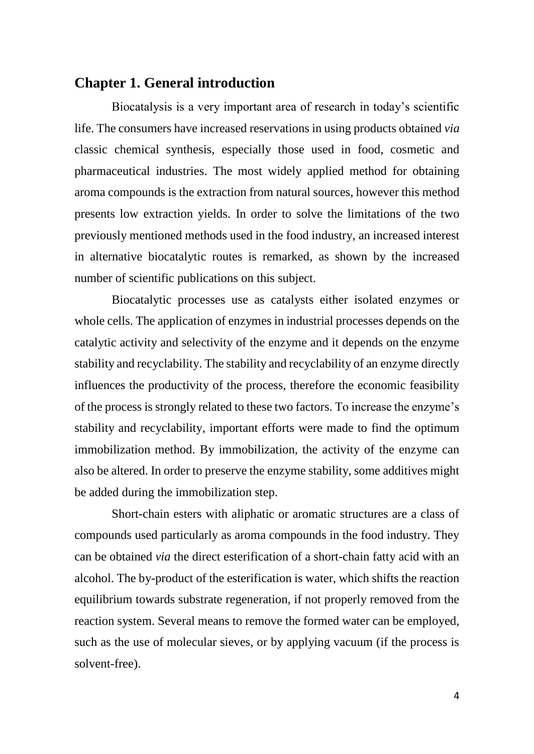## <span id="page-3-0"></span>**Chapter 1. General introduction**

Biocatalysis is a very important area of research in today's scientific life. The consumers have increased reservations in using products obtained *via* classic chemical synthesis, especially those used in food, cosmetic and pharmaceutical industries. The most widely applied method for obtaining aroma compounds is the extraction from natural sources, however this method presents low extraction yields. In order to solve the limitations of the two previously mentioned methods used in the food industry, an increased interest in alternative biocatalytic routes is remarked, as shown by the increased number of scientific publications on this subject.

Biocatalytic processes use as catalysts either isolated enzymes or whole cells. The application of enzymes in industrial processes depends on the catalytic activity and selectivity of the enzyme and it depends on the enzyme stability and recyclability. The stability and recyclability of an enzyme directly influences the productivity of the process, therefore the economic feasibility of the process is strongly related to these two factors. To increase the enzyme's stability and recyclability, important efforts were made to find the optimum immobilization method. By immobilization, the activity of the enzyme can also be altered. In order to preserve the enzyme stability, some additives might be added during the immobilization step.

Short-chain esters with aliphatic or aromatic structures are a class of compounds used particularly as aroma compounds in the food industry. They can be obtained *via* the direct esterification of a short-chain fatty acid with an alcohol. The by-product of the esterification is water, which shifts the reaction equilibrium towards substrate regeneration, if not properly removed from the reaction system. Several means to remove the formed water can be employed, such as the use of molecular sieves, or by applying vacuum (if the process is solvent-free).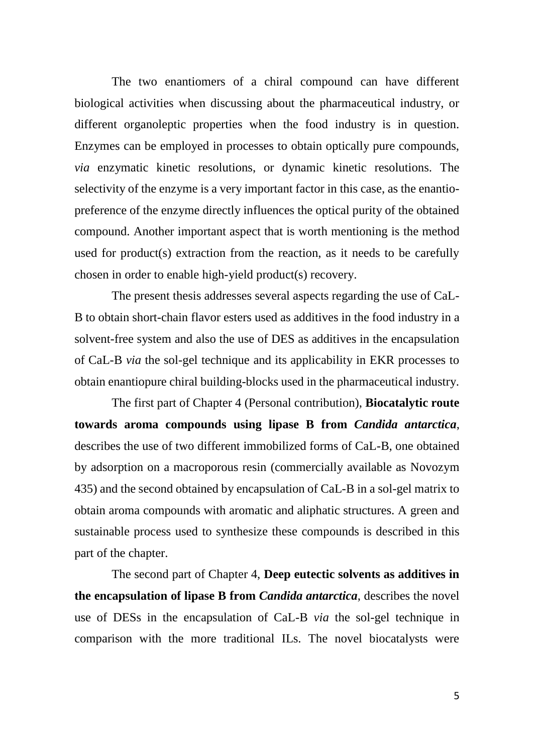The two enantiomers of a chiral compound can have different biological activities when discussing about the pharmaceutical industry, or different organoleptic properties when the food industry is in question. Enzymes can be employed in processes to obtain optically pure compounds, *via* enzymatic kinetic resolutions, or dynamic kinetic resolutions. The selectivity of the enzyme is a very important factor in this case, as the enantiopreference of the enzyme directly influences the optical purity of the obtained compound. Another important aspect that is worth mentioning is the method used for product(s) extraction from the reaction, as it needs to be carefully chosen in order to enable high-yield product(s) recovery.

The present thesis addresses several aspects regarding the use of CaL-B to obtain short-chain flavor esters used as additives in the food industry in a solvent-free system and also the use of DES as additives in the encapsulation of CaL-B *via* the sol-gel technique and its applicability in EKR processes to obtain enantiopure chiral building-blocks used in the pharmaceutical industry.

The first part of Chapter 4 (Personal contribution), **Biocatalytic route towards aroma compounds using lipase B from** *Candida antarctica*, describes the use of two different immobilized forms of CaL-B, one obtained by adsorption on a macroporous resin (commercially available as Novozym 435) and the second obtained by encapsulation of CaL-B in a sol-gel matrix to obtain aroma compounds with aromatic and aliphatic structures. A green and sustainable process used to synthesize these compounds is described in this part of the chapter.

The second part of Chapter 4, **Deep eutectic solvents as additives in the encapsulation of lipase B from** *Candida antarctica*, describes the novel use of DESs in the encapsulation of CaL-B *via* the sol-gel technique in comparison with the more traditional ILs. The novel biocatalysts were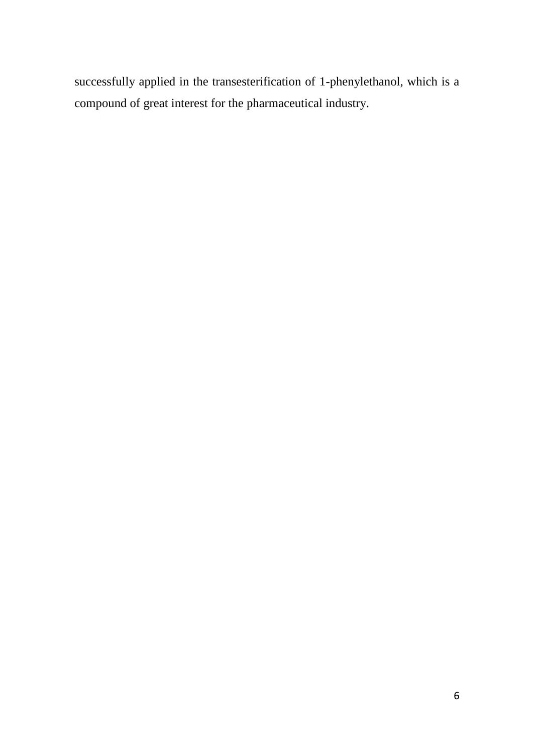successfully applied in the transesterification of 1-phenylethanol, which is a compound of great interest for the pharmaceutical industry.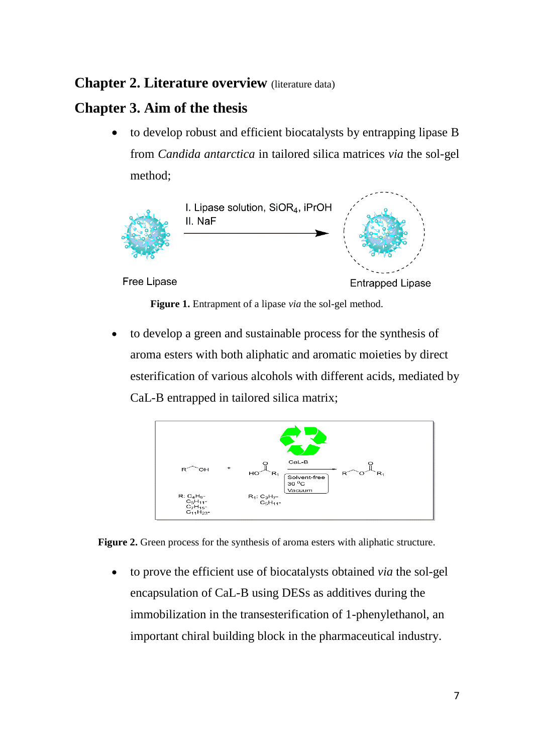# <span id="page-6-0"></span>**Chapter 2. Literature overview** (literature data)

# <span id="page-6-1"></span>**Chapter 3. Aim of the thesis**

 to develop robust and efficient biocatalysts by entrapping lipase B from *Candida antarctica* in tailored silica matrices *via* the sol-gel method;



Free Lipase

**Entrapped Lipase** 

**Figure 1.** Entrapment of a lipase *via* the sol-gel method.

 to develop a green and sustainable process for the synthesis of aroma esters with both aliphatic and aromatic moieties by direct esterification of various alcohols with different acids, mediated by CaL-B entrapped in tailored silica matrix;



**Figure 2.** Green process for the synthesis of aroma esters with aliphatic structure.

 to prove the efficient use of biocatalysts obtained *via* the sol-gel encapsulation of CaL-B using DESs as additives during the immobilization in the transesterification of 1-phenylethanol, an important chiral building block in the pharmaceutical industry.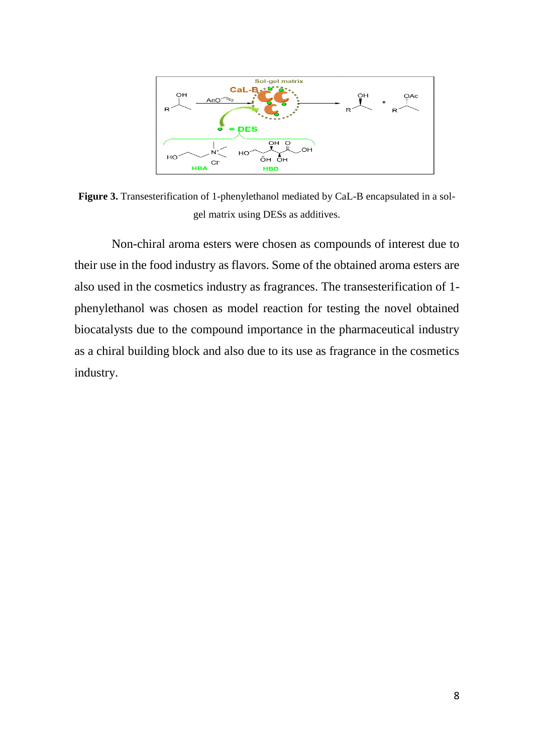

**Figure 3.** Transesterification of 1-phenylethanol mediated by CaL-B encapsulated in a solgel matrix using DESs as additives.

Non-chiral aroma esters were chosen as compounds of interest due to their use in the food industry as flavors. Some of the obtained aroma esters are also used in the cosmetics industry as fragrances. The transesterification of 1 phenylethanol was chosen as model reaction for testing the novel obtained biocatalysts due to the compound importance in the pharmaceutical industry as a chiral building block and also due to its use as fragrance in the cosmetics industry.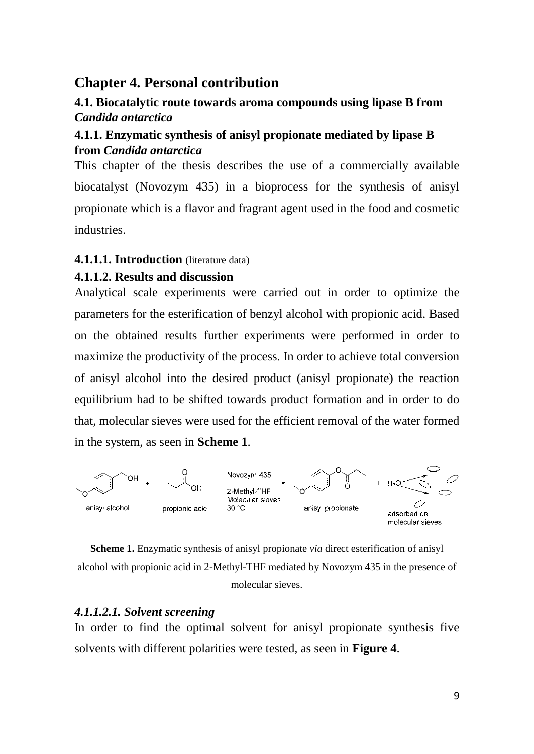# <span id="page-8-0"></span>**Chapter 4. Personal contribution**

# <span id="page-8-1"></span>**4.1. Biocatalytic route towards aroma compounds using lipase B from**  *Candida antarctica*

# <span id="page-8-2"></span>**4.1.1. Enzymatic synthesis of anisyl propionate mediated by lipase B from** *Candida antarctica*

This chapter of the thesis describes the use of a commercially available biocatalyst (Novozym 435) in a bioprocess for the synthesis of anisyl propionate which is a flavor and fragrant agent used in the food and cosmetic industries.

### <span id="page-8-3"></span>**4.1.1.1. Introduction** (literature data)

### <span id="page-8-4"></span>**4.1.1.2. Results and discussion**

Analytical scale experiments were carried out in order to optimize the parameters for the esterification of benzyl alcohol with propionic acid. Based on the obtained results further experiments were performed in order to maximize the productivity of the process. In order to achieve total conversion of anisyl alcohol into the desired product (anisyl propionate) the reaction equilibrium had to be shifted towards product formation and in order to do that, molecular sieves were used for the efficient removal of the water formed in the system, as seen in **Scheme 1**.



**Scheme 1.** Enzymatic synthesis of anisyl propionate *via* direct esterification of anisyl alcohol with propionic acid in 2-Methyl-THF mediated by Novozym 435 in the presence of molecular sieves.

### <span id="page-8-5"></span>*4.1.1.2.1. Solvent screening*

In order to find the optimal solvent for anisyl propionate synthesis five solvents with different polarities were tested, as seen in **Figure 4**.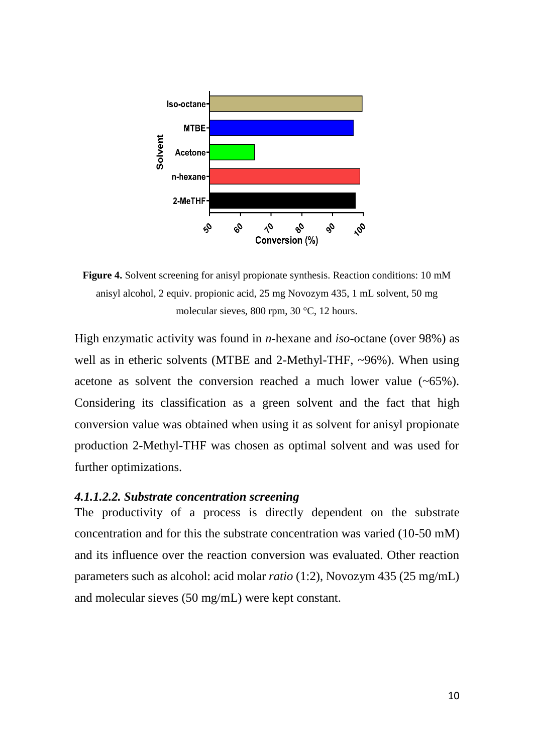

**Figure 4.** Solvent screening for anisyl propionate synthesis. Reaction conditions: 10 mM anisyl alcohol, 2 equiv. propionic acid, 25 mg Novozym 435, 1 mL solvent, 50 mg molecular sieves, 800 rpm, 30 °C, 12 hours.

High enzymatic activity was found in *n*-hexane and *iso*-octane (over 98%) as well as in etheric solvents (MTBE and 2-Methyl-THF, ~96%). When using acetone as solvent the conversion reached a much lower value (~65%). Considering its classification as a green solvent and the fact that high conversion value was obtained when using it as solvent for anisyl propionate production 2-Methyl-THF was chosen as optimal solvent and was used for further optimizations.

#### <span id="page-9-0"></span>*4.1.1.2.2. Substrate concentration screening*

The productivity of a process is directly dependent on the substrate concentration and for this the substrate concentration was varied (10-50 mM) and its influence over the reaction conversion was evaluated. Other reaction parameters such as alcohol: acid molar *ratio* (1:2), Novozym 435 (25 mg/mL) and molecular sieves (50 mg/mL) were kept constant.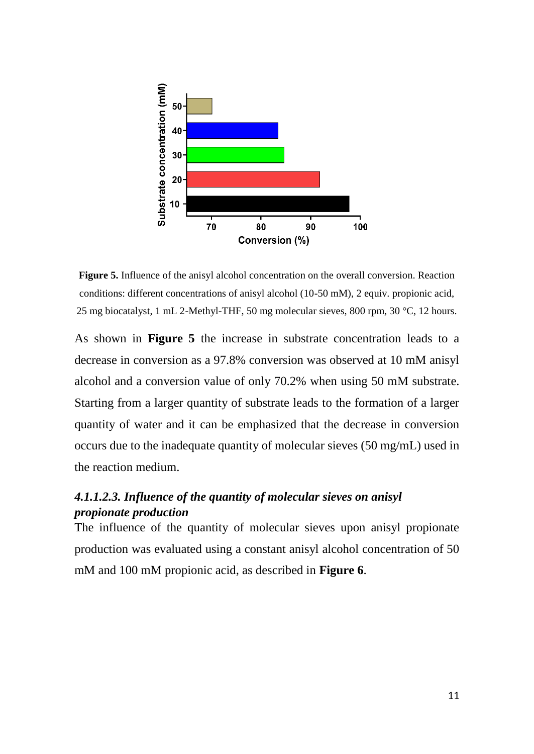

**Figure 5.** Influence of the anisyl alcohol concentration on the overall conversion. Reaction conditions: different concentrations of anisyl alcohol (10-50 mM), 2 equiv. propionic acid, 25 mg biocatalyst, 1 mL 2-Methyl-THF, 50 mg molecular sieves, 800 rpm, 30 °C, 12 hours.

As shown in **Figure 5** the increase in substrate concentration leads to a decrease in conversion as a 97.8% conversion was observed at 10 mM anisyl alcohol and a conversion value of only 70.2% when using 50 mM substrate. Starting from a larger quantity of substrate leads to the formation of a larger quantity of water and it can be emphasized that the decrease in conversion occurs due to the inadequate quantity of molecular sieves (50 mg/mL) used in the reaction medium.

## <span id="page-10-0"></span>*4.1.1.2.3. Influence of the quantity of molecular sieves on anisyl propionate production*

The influence of the quantity of molecular sieves upon anisyl propionate production was evaluated using a constant anisyl alcohol concentration of 50 mM and 100 mM propionic acid, as described in **Figure 6**.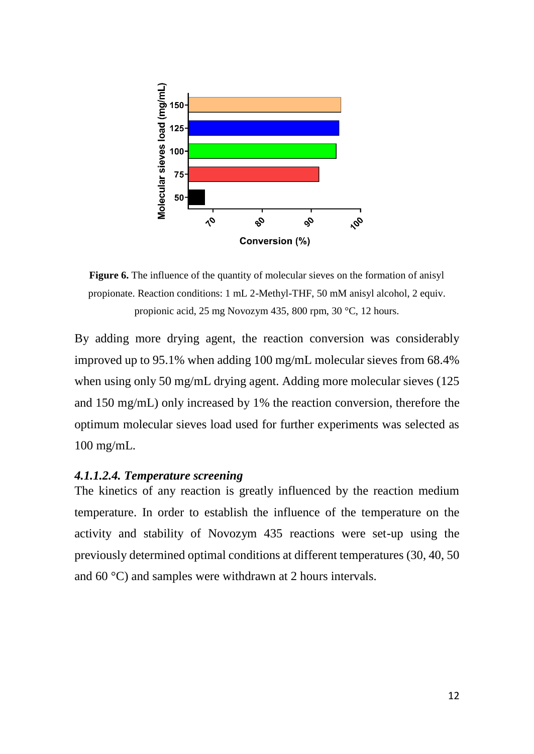

Figure 6. The influence of the quantity of molecular sieves on the formation of anisyl propionate. Reaction conditions: 1 mL 2-Methyl-THF, 50 mM anisyl alcohol, 2 equiv. propionic acid, 25 mg Novozym 435, 800 rpm, 30 °C, 12 hours.

By adding more drying agent, the reaction conversion was considerably improved up to 95.1% when adding 100 mg/mL molecular sieves from 68.4% when using only 50 mg/mL drying agent. Adding more molecular sieves (125) and 150 mg/mL) only increased by 1% the reaction conversion, therefore the optimum molecular sieves load used for further experiments was selected as 100 mg/mL.

### <span id="page-11-0"></span>*4.1.1.2.4. Temperature screening*

The kinetics of any reaction is greatly influenced by the reaction medium temperature. In order to establish the influence of the temperature on the activity and stability of Novozym 435 reactions were set-up using the previously determined optimal conditions at different temperatures (30, 40, 50 and 60 °C) and samples were withdrawn at 2 hours intervals.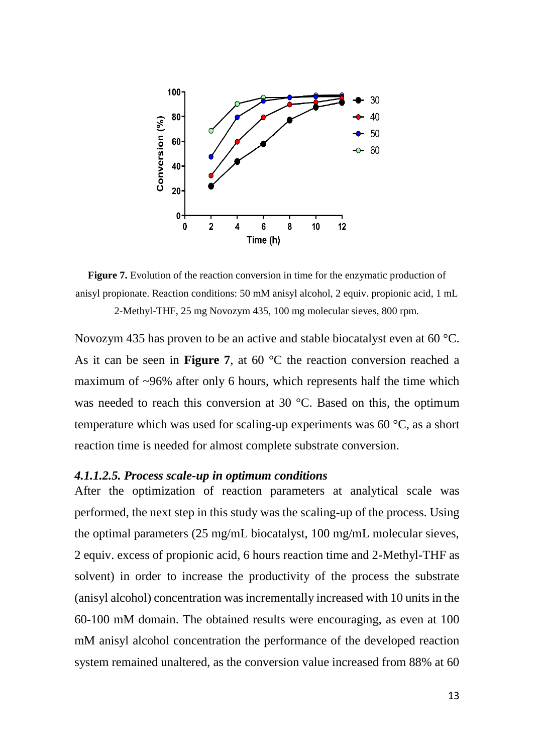

**Figure 7.** Evolution of the reaction conversion in time for the enzymatic production of anisyl propionate. Reaction conditions: 50 mM anisyl alcohol, 2 equiv. propionic acid, 1 mL 2-Methyl-THF, 25 mg Novozym 435, 100 mg molecular sieves, 800 rpm.

Novozym 435 has proven to be an active and stable biocatalyst even at 60 °C. As it can be seen in **Figure 7**, at 60 °C the reaction conversion reached a maximum of ~96% after only 6 hours, which represents half the time which was needed to reach this conversion at 30 °C. Based on this, the optimum temperature which was used for scaling-up experiments was 60 °C, as a short reaction time is needed for almost complete substrate conversion.

#### <span id="page-12-0"></span>*4.1.1.2.5. Process scale-up in optimum conditions*

After the optimization of reaction parameters at analytical scale was performed, the next step in this study was the scaling-up of the process. Using the optimal parameters (25 mg/mL biocatalyst, 100 mg/mL molecular sieves, 2 equiv. excess of propionic acid, 6 hours reaction time and 2-Methyl-THF as solvent) in order to increase the productivity of the process the substrate (anisyl alcohol) concentration was incrementally increased with 10 units in the 60-100 mM domain. The obtained results were encouraging, as even at 100 mM anisyl alcohol concentration the performance of the developed reaction system remained unaltered, as the conversion value increased from 88% at 60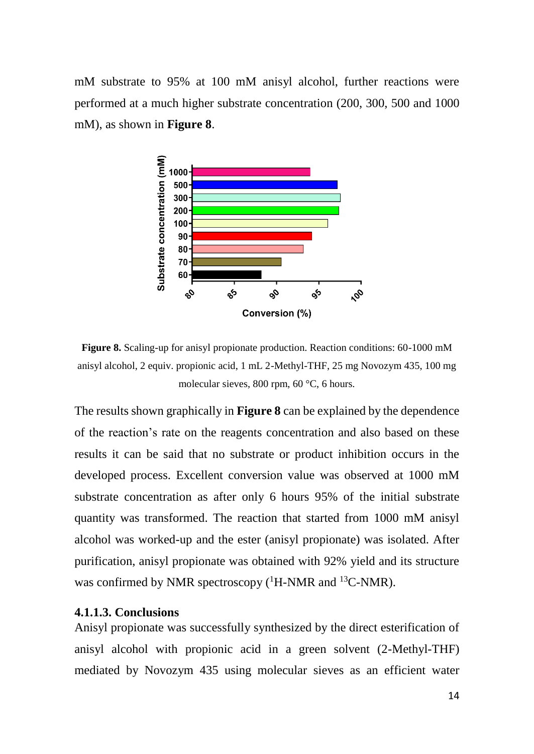mM substrate to 95% at 100 mM anisyl alcohol, further reactions were performed at a much higher substrate concentration (200, 300, 500 and 1000 mM), as shown in **Figure 8**.



**Figure 8.** Scaling-up for anisyl propionate production. Reaction conditions: 60-1000 mM anisyl alcohol, 2 equiv. propionic acid, 1 mL 2-Methyl-THF, 25 mg Novozym 435, 100 mg molecular sieves, 800 rpm, 60 °C, 6 hours.

The results shown graphically in **Figure 8** can be explained by the dependence of the reaction's rate on the reagents concentration and also based on these results it can be said that no substrate or product inhibition occurs in the developed process. Excellent conversion value was observed at 1000 mM substrate concentration as after only 6 hours 95% of the initial substrate quantity was transformed. The reaction that started from 1000 mM anisyl alcohol was worked-up and the ester (anisyl propionate) was isolated. After purification, anisyl propionate was obtained with 92% yield and its structure was confirmed by NMR spectroscopy  $(^1H\text{-NMR}$  and  $^{13}C\text{-NMR}$ ).

#### <span id="page-13-0"></span>**4.1.1.3. Conclusions**

Anisyl propionate was successfully synthesized by the direct esterification of anisyl alcohol with propionic acid in a green solvent (2-Methyl-THF) mediated by Novozym 435 using molecular sieves as an efficient water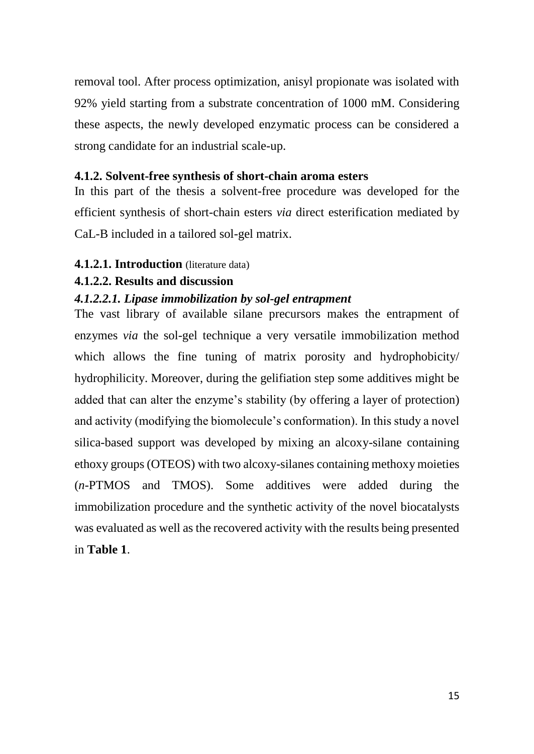removal tool. After process optimization, anisyl propionate was isolated with 92% yield starting from a substrate concentration of 1000 mM. Considering these aspects, the newly developed enzymatic process can be considered a strong candidate for an industrial scale-up.

### <span id="page-14-0"></span>**4.1.2. Solvent-free synthesis of short-chain aroma esters**

In this part of the thesis a solvent-free procedure was developed for the efficient synthesis of short-chain esters *via* direct esterification mediated by CaL-B included in a tailored sol-gel matrix.

### <span id="page-14-1"></span>**4.1.2.1. Introduction** (literature data)

#### <span id="page-14-2"></span>**4.1.2.2. Results and discussion**

### <span id="page-14-3"></span>*4.1.2.2.1. Lipase immobilization by sol-gel entrapment*

The vast library of available silane precursors makes the entrapment of enzymes *via* the sol-gel technique a very versatile immobilization method which allows the fine tuning of matrix porosity and hydrophobicity/ hydrophilicity. Moreover, during the gelifiation step some additives might be added that can alter the enzyme's stability (by offering a layer of protection) and activity (modifying the biomolecule's conformation). In this study a novel silica-based support was developed by mixing an alcoxy-silane containing ethoxy groups (OTEOS) with two alcoxy-silanes containing methoxy moieties (*n*-PTMOS and TMOS). Some additives were added during the immobilization procedure and the synthetic activity of the novel biocatalysts was evaluated as well as the recovered activity with the results being presented in **Table 1**.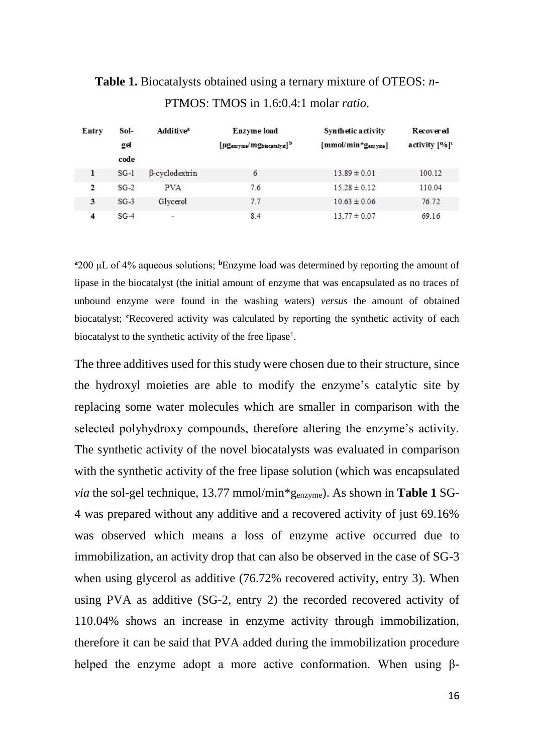| Entry | Sol-   | Additive <sup>a</sup> | <b>Enzyme</b> load                    | Synthetic activity                     | <b>Recovered</b>            |
|-------|--------|-----------------------|---------------------------------------|----------------------------------------|-----------------------------|
|       | gel    |                       | [µgenzyme/mgbiocatalyst] <sup>b</sup> | ${\rm [mmol/min^{\star}g_{em\, vme}]}$ | activity $[%]$ <sup>c</sup> |
|       | code   |                       |                                       |                                        |                             |
| ı     | $SG-1$ | B-cyclodextrin        | 6                                     | $13.89 \pm 0.01$                       | 100.12                      |
| 2     | $SG-2$ | <b>PVA</b>            | 7.6                                   | $15.28 \pm 0.12$                       | 110.04                      |
| 3     | $SG-3$ | Glycerol              | 7.7                                   | $10.63 \pm 0.06$                       | 76.72                       |
| 4     | $SG-4$ | ٠                     | 8.4                                   | $13.77 \pm 0.07$                       | 69.16                       |

**Table 1.** Biocatalysts obtained using a ternary mixture of OTEOS: *n*-PTMOS: TMOS in 1.6:0.4:1 molar *ratio*.

**<sup>a</sup>**200 μL of 4% aqueous solutions; **<sup>b</sup>**Enzyme load was determined by reporting the amount of lipase in the biocatalyst (the initial amount of enzyme that was encapsulated as no traces of unbound enzyme were found in the washing waters) *versus* the amount of obtained biocatalyst; <sup>*c*</sup>Recovered activity was calculated by reporting the synthetic activity of each biocatalyst to the synthetic activity of the free lipase<sup>1</sup>.

The three additives used for this study were chosen due to their structure, since the hydroxyl moieties are able to modify the enzyme's catalytic site by replacing some water molecules which are smaller in comparison with the selected polyhydroxy compounds, therefore altering the enzyme's activity. The synthetic activity of the novel biocatalysts was evaluated in comparison with the synthetic activity of the free lipase solution (which was encapsulated *via* the sol-gel technique, 13.77 mmol/min\*genzyme). As shown in **Table 1** SG-4 was prepared without any additive and a recovered activity of just 69.16% was observed which means a loss of enzyme active occurred due to immobilization, an activity drop that can also be observed in the case of SG-3 when using glycerol as additive (76.72% recovered activity, entry 3). When using PVA as additive (SG-2, entry 2) the recorded recovered activity of 110.04% shows an increase in enzyme activity through immobilization, therefore it can be said that PVA added during the immobilization procedure helped the enzyme adopt a more active conformation. When using β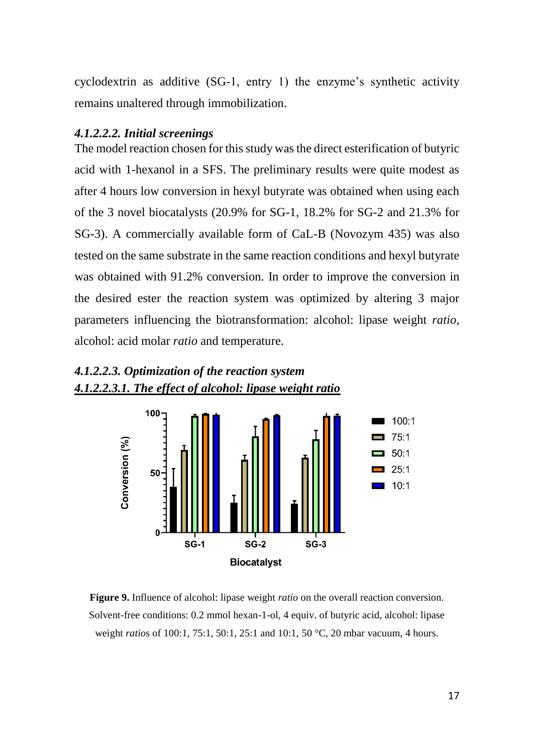cyclodextrin as additive (SG-1, entry 1) the enzyme's synthetic activity remains unaltered through immobilization.

#### <span id="page-16-0"></span>*4.1.2.2.2. Initial screenings*

The model reaction chosen for this study was the direct esterification of butyric acid with 1-hexanol in a SFS. The preliminary results were quite modest as after 4 hours low conversion in hexyl butyrate was obtained when using each of the 3 novel biocatalysts (20.9% for SG-1, 18.2% for SG-2 and 21.3% for SG-3). A commercially available form of CaL-B (Novozym 435) was also tested on the same substrate in the same reaction conditions and hexyl butyrate was obtained with 91.2% conversion. In order to improve the conversion in the desired ester the reaction system was optimized by altering 3 major parameters influencing the biotransformation: alcohol: lipase weight *ratio*, alcohol: acid molar *ratio* and temperature.



# <span id="page-16-2"></span><span id="page-16-1"></span>*4.1.2.2.3. Optimization of the reaction system 4.1.2.2.3.1. The effect of alcohol: lipase weight ratio*

**Figure 9.** Influence of alcohol: lipase weight *ratio* on the overall reaction conversion. Solvent-free conditions: 0.2 mmol hexan-1-ol, 4 equiv. of butyric acid, alcohol: lipase weight *ratio*s of 100:1, 75:1, 50:1, 25:1 and 10:1, 50 °C, 20 mbar vacuum, 4 hours.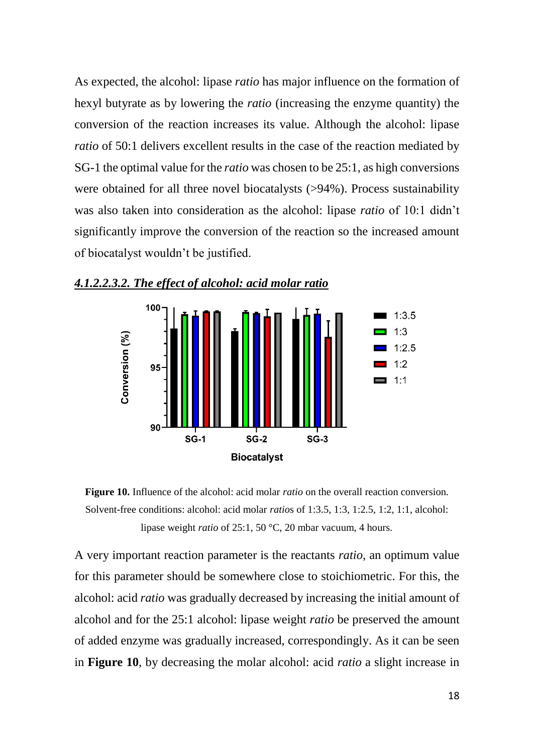As expected, the alcohol: lipase *ratio* has major influence on the formation of hexyl butyrate as by lowering the *ratio* (increasing the enzyme quantity) the conversion of the reaction increases its value. Although the alcohol: lipase *ratio* of 50:1 delivers excellent results in the case of the reaction mediated by SG-1 the optimal value for the *ratio* was chosen to be 25:1, as high conversions were obtained for all three novel biocatalysts (>94%). Process sustainability was also taken into consideration as the alcohol: lipase *ratio* of 10:1 didn't significantly improve the conversion of the reaction so the increased amount of biocatalyst wouldn't be justified.



<span id="page-17-0"></span>



A very important reaction parameter is the reactants *ratio*, an optimum value for this parameter should be somewhere close to stoichiometric. For this, the alcohol: acid *ratio* was gradually decreased by increasing the initial amount of alcohol and for the 25:1 alcohol: lipase weight *ratio* be preserved the amount of added enzyme was gradually increased, correspondingly. As it can be seen in **Figure 10**, by decreasing the molar alcohol: acid *ratio* a slight increase in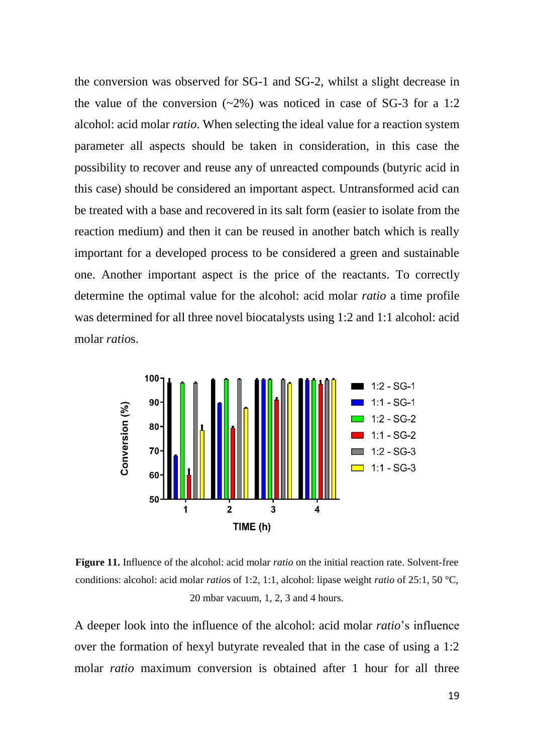the conversion was observed for SG-1 and SG-2, whilst a slight decrease in the value of the conversion  $(-2\%)$  was noticed in case of SG-3 for a 1:2 alcohol: acid molar *ratio*. When selecting the ideal value for a reaction system parameter all aspects should be taken in consideration, in this case the possibility to recover and reuse any of unreacted compounds (butyric acid in this case) should be considered an important aspect. Untransformed acid can be treated with a base and recovered in its salt form (easier to isolate from the reaction medium) and then it can be reused in another batch which is really important for a developed process to be considered a green and sustainable one. Another important aspect is the price of the reactants. To correctly determine the optimal value for the alcohol: acid molar *ratio* a time profile was determined for all three novel biocatalysts using 1:2 and 1:1 alcohol: acid molar *ratio*s.



**Figure 11.** Influence of the alcohol: acid molar *ratio* on the initial reaction rate. Solvent-free conditions: alcohol: acid molar *ratio*s of 1:2, 1:1, alcohol: lipase weight *ratio* of 25:1, 50 °C, 20 mbar vacuum, 1, 2, 3 and 4 hours.

A deeper look into the influence of the alcohol: acid molar *ratio*'s influence over the formation of hexyl butyrate revealed that in the case of using a 1:2 molar *ratio* maximum conversion is obtained after 1 hour for all three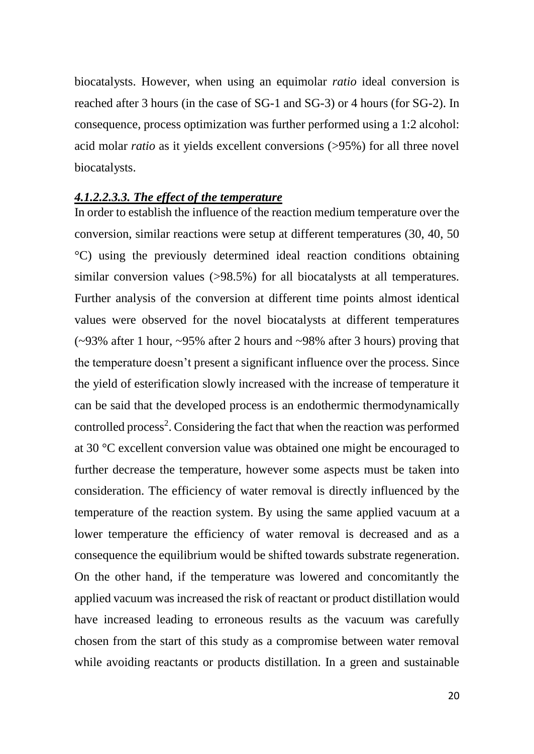biocatalysts. However, when using an equimolar *ratio* ideal conversion is reached after 3 hours (in the case of SG-1 and SG-3) or 4 hours (for SG-2). In consequence, process optimization was further performed using a 1:2 alcohol: acid molar *ratio* as it yields excellent conversions (>95%) for all three novel biocatalysts.

#### <span id="page-19-0"></span>*4.1.2.2.3.3. The effect of the temperature*

In order to establish the influence of the reaction medium temperature over the conversion, similar reactions were setup at different temperatures (30, 40, 50 °C) using the previously determined ideal reaction conditions obtaining similar conversion values (>98.5%) for all biocatalysts at all temperatures. Further analysis of the conversion at different time points almost identical values were observed for the novel biocatalysts at different temperatures (~93% after 1 hour, ~95% after 2 hours and ~98% after 3 hours) proving that the temperature doesn't present a significant influence over the process. Since the yield of esterification slowly increased with the increase of temperature it can be said that the developed process is an endothermic thermodynamically controlled process<sup>2</sup>. Considering the fact that when the reaction was performed at 30 °C excellent conversion value was obtained one might be encouraged to further decrease the temperature, however some aspects must be taken into consideration. The efficiency of water removal is directly influenced by the temperature of the reaction system. By using the same applied vacuum at a lower temperature the efficiency of water removal is decreased and as a consequence the equilibrium would be shifted towards substrate regeneration. On the other hand, if the temperature was lowered and concomitantly the applied vacuum was increased the risk of reactant or product distillation would have increased leading to erroneous results as the vacuum was carefully chosen from the start of this study as a compromise between water removal while avoiding reactants or products distillation. In a green and sustainable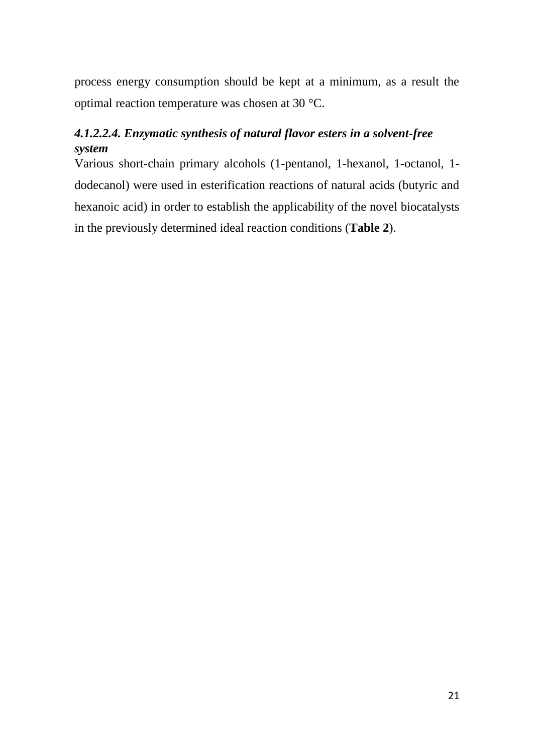process energy consumption should be kept at a minimum, as a result the optimal reaction temperature was chosen at 30 °C.

# <span id="page-20-0"></span>*4.1.2.2.4. Enzymatic synthesis of natural flavor esters in a solvent-free system*

Various short-chain primary alcohols (1-pentanol, 1-hexanol, 1-octanol, 1 dodecanol) were used in esterification reactions of natural acids (butyric and hexanoic acid) in order to establish the applicability of the novel biocatalysts in the previously determined ideal reaction conditions (**Table 2**).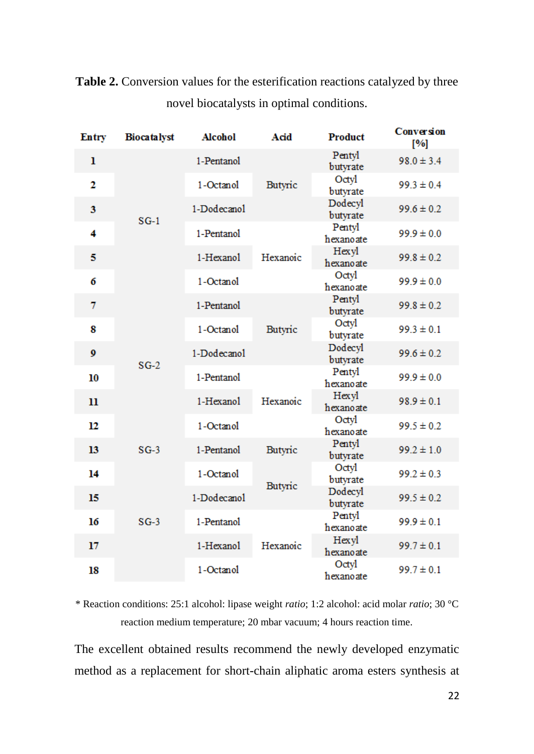| Entry                   | <b>Biocatalyst</b> | <b>Alcohol</b> | Acid     | Product             | Conversion<br>[%] |
|-------------------------|--------------------|----------------|----------|---------------------|-------------------|
| 1                       |                    | 1-Pentanol     | Butyric  | Pentyl<br>butyrate  | $98.0 \pm 3.4$    |
| $\overline{\mathbf{2}}$ |                    | 1-Octanol      |          | Octyl<br>butyrate   | $99.3 \pm 0.4$    |
| 3                       |                    | 1-Dodecanol    |          | Dodecyl<br>butyrate | $99.6 \pm 0.2$    |
| 4                       | $SG-1$             | 1-Pentanol     | Hexanoic | Pentyl<br>hexanoate | $99.9 \pm 0.0$    |
| 5                       |                    | 1-Hexanol      |          | Hexyl<br>hexanoate  | $99.8 \pm 0.2$    |
| 6                       |                    | 1-Octanol      |          | Octyl<br>hexanoate  | $99.9 \pm 0.0$    |
| 7                       |                    | 1-Pentanol     | Butyric  | Pentyl<br>butyrate  | $99.8 \pm 0.2$    |
| 8                       |                    | 1-Octanol      |          | Octyl<br>butyrate   | $99.3 \pm 0.1$    |
| 9                       | $SG-2$             | 1-Dodecanol    |          | Dodecyl<br>butyrate | $99.6 \pm 0.2$    |
| 10                      |                    | 1-Pentanol     | Hexanoic | Pentyl<br>hexanoate | $99.9 \pm 0.0$    |
| 11                      |                    | 1-Hexanol      |          | Hexyl<br>hexanoate  | $98.9 \pm 0.1$    |
| 12                      |                    | 1-Octanol      |          | Octyl<br>hexanoate  | $99.5 \pm 0.2$    |
| 13                      | $SG-3$             | 1-Pentanol     | Butyric  | Pentyl<br>butyrate  | $99.2 \pm 1.0$    |
| 14                      |                    | 1-Octanol      |          | Octyl<br>butyrate   | $99.2 \pm 0.3$    |
| 15                      |                    | 1-Dodecanol    | Butyric  | Dodecyl<br>butyrate | $99.5 \pm 0.2$    |
| 16                      | $SG-3$             | 1-Pentanol     | Hexanoic | Pentyl<br>hexanoate | $99.9 \pm 0.1$    |
| 17<br>18                |                    | 1-Hexanol      |          | Hexyl<br>hexanoate  | $99.7 \pm 0.1$    |
|                         |                    | 1-Octanol      |          | Octyl<br>hexanoate  | $99.7 \pm 0.1$    |

**Table 2.** Conversion values for the esterification reactions catalyzed by three novel biocatalysts in optimal conditions.

\* Reaction conditions: 25:1 alcohol: lipase weight *ratio*; 1:2 alcohol: acid molar *ratio*; 30 °C reaction medium temperature; 20 mbar vacuum; 4 hours reaction time.

The excellent obtained results recommend the newly developed enzymatic method as a replacement for short-chain aliphatic aroma esters synthesis at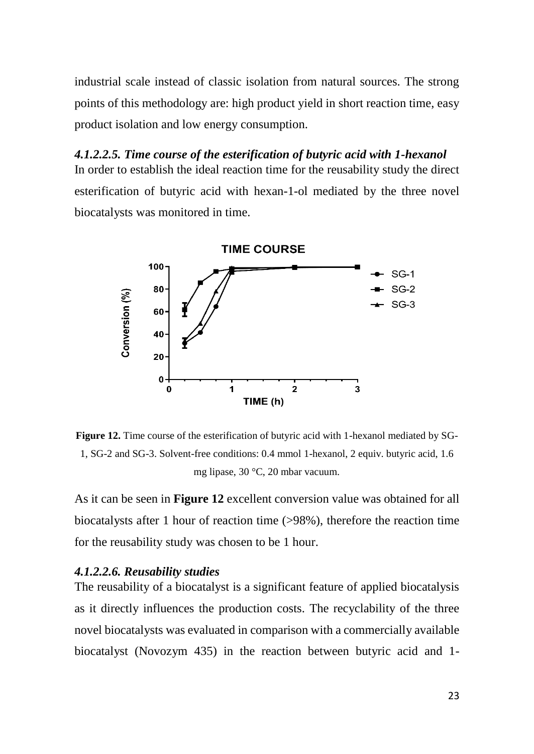industrial scale instead of classic isolation from natural sources. The strong points of this methodology are: high product yield in short reaction time, easy product isolation and low energy consumption.

# <span id="page-22-0"></span>*4.1.2.2.5. Time course of the esterification of butyric acid with 1-hexanol* In order to establish the ideal reaction time for the reusability study the direct

esterification of butyric acid with hexan-1-ol mediated by the three novel biocatalysts was monitored in time.



**Figure 12.** Time course of the esterification of butyric acid with 1-hexanol mediated by SG-1, SG-2 and SG-3. Solvent-free conditions: 0.4 mmol 1-hexanol, 2 equiv. butyric acid, 1.6 mg lipase, 30 °C, 20 mbar vacuum.

As it can be seen in **Figure 12** excellent conversion value was obtained for all biocatalysts after 1 hour of reaction time (>98%), therefore the reaction time for the reusability study was chosen to be 1 hour.

### <span id="page-22-1"></span>*4.1.2.2.6. Reusability studies*

The reusability of a biocatalyst is a significant feature of applied biocatalysis as it directly influences the production costs. The recyclability of the three novel biocatalysts was evaluated in comparison with a commercially available biocatalyst (Novozym 435) in the reaction between butyric acid and 1-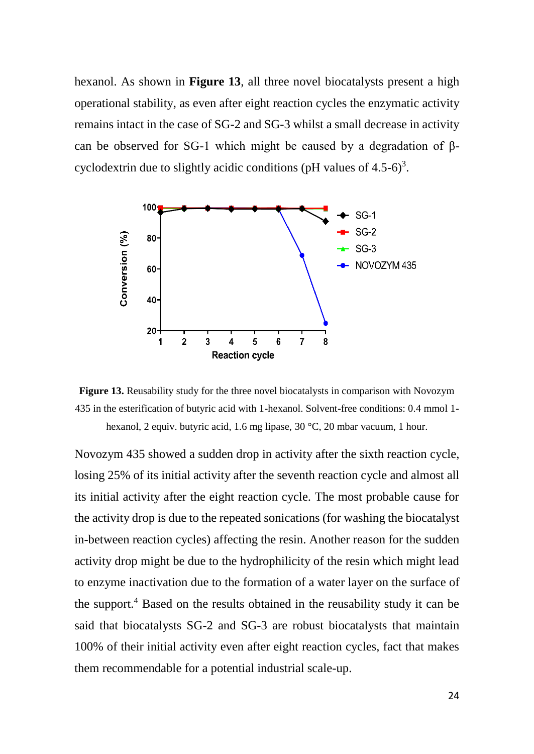hexanol. As shown in **Figure 13**, all three novel biocatalysts present a high operational stability, as even after eight reaction cycles the enzymatic activity remains intact in the case of SG-2 and SG-3 whilst a small decrease in activity can be observed for SG-1 which might be caused by a degradation of βcyclodextrin due to slightly acidic conditions (pH values of  $4.5$ -6)<sup>3</sup>.





Novozym 435 showed a sudden drop in activity after the sixth reaction cycle, losing 25% of its initial activity after the seventh reaction cycle and almost all its initial activity after the eight reaction cycle. The most probable cause for the activity drop is due to the repeated sonications (for washing the biocatalyst in-between reaction cycles) affecting the resin. Another reason for the sudden activity drop might be due to the hydrophilicity of the resin which might lead to enzyme inactivation due to the formation of a water layer on the surface of the support.<sup>4</sup> Based on the results obtained in the reusability study it can be said that biocatalysts SG-2 and SG-3 are robust biocatalysts that maintain 100% of their initial activity even after eight reaction cycles, fact that makes them recommendable for a potential industrial scale-up.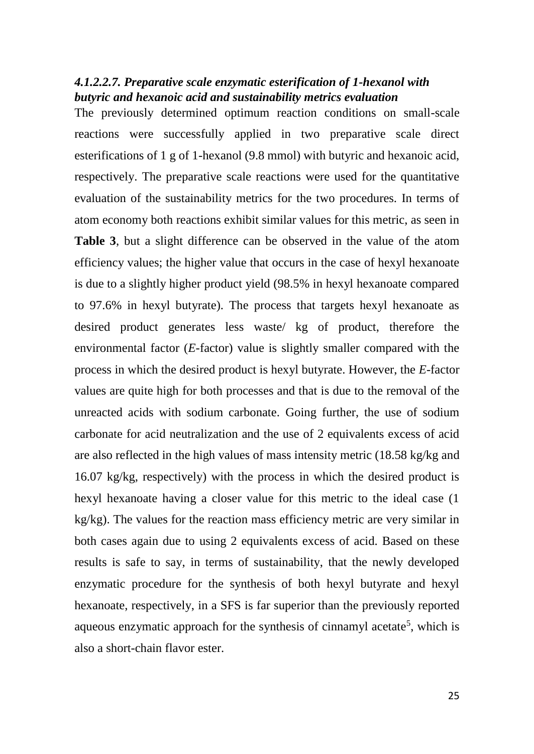### <span id="page-24-0"></span>*4.1.2.2.7. Preparative scale enzymatic esterification of 1-hexanol with butyric and hexanoic acid and sustainability metrics evaluation*

The previously determined optimum reaction conditions on small-scale reactions were successfully applied in two preparative scale direct esterifications of 1 g of 1-hexanol (9.8 mmol) with butyric and hexanoic acid, respectively. The preparative scale reactions were used for the quantitative evaluation of the sustainability metrics for the two procedures. In terms of atom economy both reactions exhibit similar values for this metric, as seen in **Table 3**, but a slight difference can be observed in the value of the atom efficiency values; the higher value that occurs in the case of hexyl hexanoate is due to a slightly higher product yield (98.5% in hexyl hexanoate compared to 97.6% in hexyl butyrate). The process that targets hexyl hexanoate as desired product generates less waste/ kg of product, therefore the environmental factor (*E*-factor) value is slightly smaller compared with the process in which the desired product is hexyl butyrate. However, the *E*-factor values are quite high for both processes and that is due to the removal of the unreacted acids with sodium carbonate. Going further, the use of sodium carbonate for acid neutralization and the use of 2 equivalents excess of acid are also reflected in the high values of mass intensity metric (18.58 kg/kg and 16.07 kg/kg, respectively) with the process in which the desired product is hexyl hexanoate having a closer value for this metric to the ideal case (1 kg/kg). The values for the reaction mass efficiency metric are very similar in both cases again due to using 2 equivalents excess of acid. Based on these results is safe to say, in terms of sustainability, that the newly developed enzymatic procedure for the synthesis of both hexyl butyrate and hexyl hexanoate, respectively, in a SFS is far superior than the previously reported aqueous enzymatic approach for the synthesis of cinnamyl acetate<sup>5</sup>, which is also a short-chain flavor ester.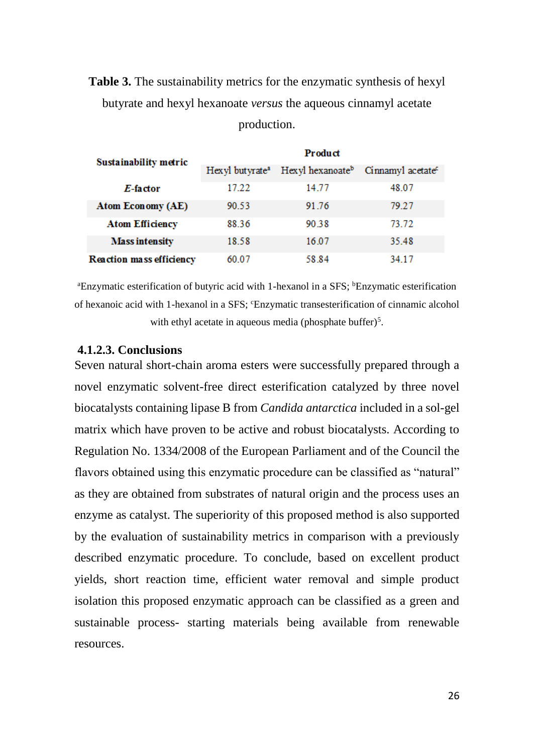# **Table 3.** The sustainability metrics for the enzymatic synthesis of hexyl butyrate and hexyl hexanoate *versus* the aqueous cinnamyl acetate production.

| Sustainability metric           | Product                      |                              |                               |  |  |
|---------------------------------|------------------------------|------------------------------|-------------------------------|--|--|
|                                 | Hexyl but yrate <sup>a</sup> | Hexyl hexanoate <sup>b</sup> | Cinnamyl acetate <sup>c</sup> |  |  |
| E-factor                        | 17.22                        | 14.77                        | 48.07                         |  |  |
| Atom Economy (AE)               | 90.53                        | 91.76                        | 79.27                         |  |  |
| <b>Atom Efficiency</b>          | 88.36                        | 90.38                        | 73.72                         |  |  |
| <b>Mass intensity</b>           | 18.58                        | 16.07                        | 35.48                         |  |  |
| <b>Reaction mass efficiency</b> | 60.07                        | 58.84                        | 34 17                         |  |  |

<sup>a</sup>Enzymatic esterification of butyric acid with 1-hexanol in a SFS; <sup>b</sup>Enzymatic esterification of hexanoic acid with 1-hexanol in a SFS; 'Enzymatic transesterification of cinnamic alcohol with ethyl acetate in aqueous media (phosphate buffer) $5$ .

### <span id="page-25-0"></span>**4.1.2.3. Conclusions**

Seven natural short-chain aroma esters were successfully prepared through a novel enzymatic solvent-free direct esterification catalyzed by three novel biocatalysts containing lipase B from *Candida antarctica* included in a sol-gel matrix which have proven to be active and robust biocatalysts. According to Regulation No. 1334/2008 of the European Parliament and of the Council the flavors obtained using this enzymatic procedure can be classified as "natural" as they are obtained from substrates of natural origin and the process uses an enzyme as catalyst. The superiority of this proposed method is also supported by the evaluation of sustainability metrics in comparison with a previously described enzymatic procedure. To conclude, based on excellent product yields, short reaction time, efficient water removal and simple product isolation this proposed enzymatic approach can be classified as a green and sustainable process- starting materials being available from renewable resources.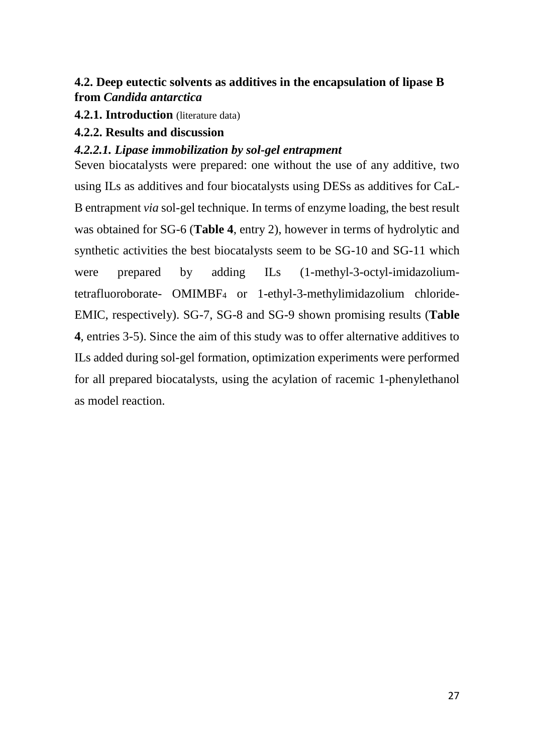# <span id="page-26-0"></span>**4.2. Deep eutectic solvents as additives in the encapsulation of lipase B from** *Candida antarctica*

<span id="page-26-1"></span>**4.2.1. Introduction** (literature data)

### <span id="page-26-2"></span>**4.2.2. Results and discussion**

## <span id="page-26-3"></span>*4.2.2.1. Lipase immobilization by sol-gel entrapment*

Seven biocatalysts were prepared: one without the use of any additive, two using ILs as additives and four biocatalysts using DESs as additives for CaL-B entrapment *via* sol-gel technique. In terms of enzyme loading, the best result was obtained for SG-6 (**Table 4**, entry 2), however in terms of hydrolytic and synthetic activities the best biocatalysts seem to be SG-10 and SG-11 which were prepared by adding ILs (1-methyl-3-octyl-imidazoliumtetrafluoroborate- OMIMBF<sup>4</sup> or 1-ethyl-3-methylimidazolium chloride-EMIC, respectively). SG-7, SG-8 and SG-9 shown promising results (**Table 4**, entries 3-5). Since the aim of this study was to offer alternative additives to ILs added during sol-gel formation, optimization experiments were performed for all prepared biocatalysts, using the acylation of racemic 1-phenylethanol as model reaction.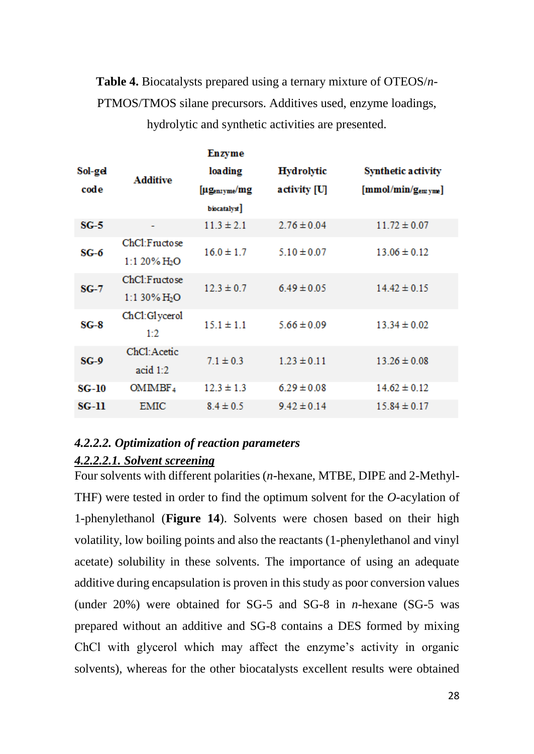**Table 4.** Biocatalysts prepared using a ternary mixture of OTEOS/*n*-PTMOS/TMOS silane precursors. Additives used, enzyme loadings,

|         |                 |                            | Enzyme            |                           |                               |
|---------|-----------------|----------------------------|-------------------|---------------------------|-------------------------------|
| Sol-gel | <b>Additive</b> | loading                    | <b>Hydrolytic</b> | <b>Synthetic activity</b> |                               |
|         | code            |                            | [µgenzyme/mg      | activity [U]              | [mmol/min/g <sub>emym</sub> ] |
|         |                 |                            | biocatalyst]      |                           |                               |
|         | $SG-5$          |                            | $11.3 \pm 2.1$    | $2.76 \pm 0.04$           | $11.72 \pm 0.07$              |
|         |                 | ChCl:Fructose              | $16.0 \pm 1.7$    | $5.10 \pm 0.07$           | $13.06 \pm 0.12$              |
| $SG-6$  |                 | $1:120\%$ H <sub>2</sub> O |                   |                           |                               |
| $SG-7$  |                 | ChCl:Fructose              | $12.3 \pm 0.7$    | $6.49 \pm 0.05$           | $14.42 \pm 0.15$              |
|         |                 | 1:1 30% $H_2O$             |                   |                           |                               |
| $SG-8$  |                 | ChCl:Glycerol              | $15.1 \pm 1.1$    | $5.66 \pm 0.09$           | $13.34 \pm 0.02$              |
|         |                 | 1:2                        |                   |                           |                               |
| $SG-9$  |                 | ChCl: Acetic               | $7.1 \pm 0.3$     | $1.23 \pm 0.11$           | $13.26 \pm 0.08$              |
|         | acid $1:2$      |                            |                   |                           |                               |
|         | $SG-10$         | OMIMBF <sub>4</sub>        | $12.3 \pm 1.3$    | $6.29 \pm 0.08$           | $14.62 \pm 0.12$              |
|         | <b>SG-11</b>    | <b>EMIC</b>                | $8.4 \pm 0.5$     | $9.42 \pm 0.14$           | $15.84 \pm 0.17$              |
|         |                 |                            |                   |                           |                               |

hydrolytic and synthetic activities are presented.

# <span id="page-27-1"></span><span id="page-27-0"></span>*4.2.2.2. Optimization of reaction parameters 4.2.2.2.1. Solvent screening*

Four solvents with different polarities (*n*-hexane, MTBE, DIPE and 2-Methyl-THF) were tested in order to find the optimum solvent for the *O*-acylation of 1-phenylethanol (**Figure 14**). Solvents were chosen based on their high volatility, low boiling points and also the reactants (1-phenylethanol and vinyl acetate) solubility in these solvents. The importance of using an adequate additive during encapsulation is proven in this study as poor conversion values (under 20%) were obtained for SG-5 and SG-8 in *n*-hexane (SG-5 was prepared without an additive and SG-8 contains a DES formed by mixing ChCl with glycerol which may affect the enzyme's activity in organic solvents), whereas for the other biocatalysts excellent results were obtained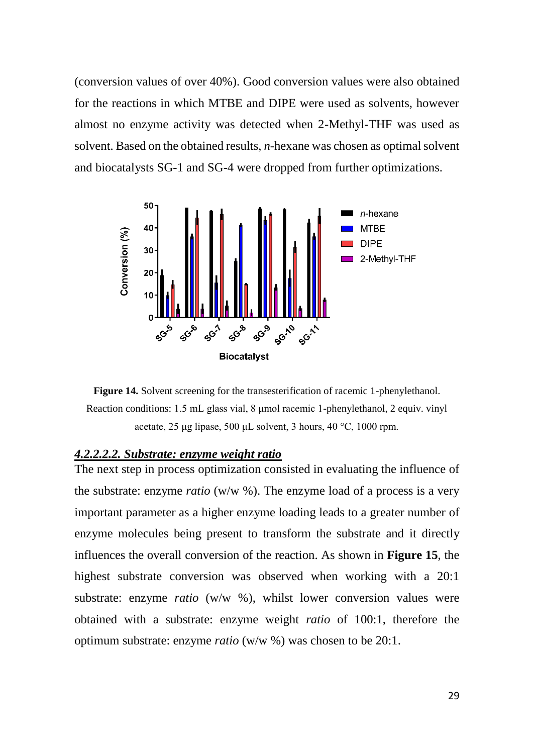(conversion values of over 40%). Good conversion values were also obtained for the reactions in which MTBE and DIPE were used as solvents, however almost no enzyme activity was detected when 2-Methyl-THF was used as solvent. Based on the obtained results, *n*-hexane was chosen as optimal solvent and biocatalysts SG-1 and SG-4 were dropped from further optimizations.



**Figure 14.** Solvent screening for the transesterification of racemic 1-phenylethanol. Reaction conditions: 1.5 mL glass vial, 8 μmol racemic 1-phenylethanol, 2 equiv. vinyl acetate, 25 μg lipase, 500 μL solvent, 3 hours, 40 °C, 1000 rpm.

#### <span id="page-28-0"></span>*4.2.2.2.2. Substrate: enzyme weight ratio*

The next step in process optimization consisted in evaluating the influence of the substrate: enzyme *ratio* (w/w %). The enzyme load of a process is a very important parameter as a higher enzyme loading leads to a greater number of enzyme molecules being present to transform the substrate and it directly influences the overall conversion of the reaction. As shown in **Figure 15**, the highest substrate conversion was observed when working with a 20:1 substrate: enzyme *ratio* (w/w %), whilst lower conversion values were obtained with a substrate: enzyme weight *ratio* of 100:1, therefore the optimum substrate: enzyme *ratio* (w/w %) was chosen to be 20:1.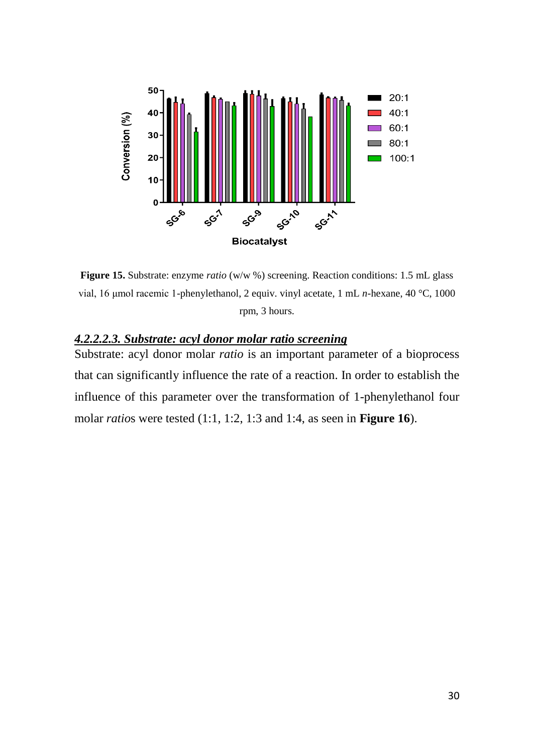

**Figure 15.** Substrate: enzyme *ratio* (w/w %) screening. Reaction conditions: 1.5 mL glass vial, 16 μmol racemic 1-phenylethanol, 2 equiv. vinyl acetate, 1 mL *n*-hexane, 40 °C, 1000 rpm, 3 hours.

## <span id="page-29-0"></span>*4.2.2.2.3. Substrate: acyl donor molar ratio screening*

Substrate: acyl donor molar *ratio* is an important parameter of a bioprocess that can significantly influence the rate of a reaction. In order to establish the influence of this parameter over the transformation of 1-phenylethanol four molar *ratio*s were tested (1:1, 1:2, 1:3 and 1:4, as seen in **Figure 16**).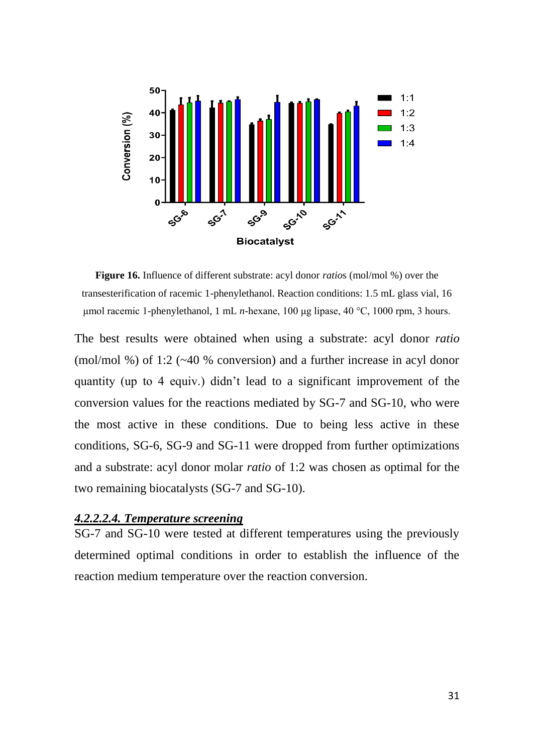

**Figure 16.** Influence of different substrate: acyl donor *ratio*s (mol/mol %) over the transesterification of racemic 1-phenylethanol. Reaction conditions: 1.5 mL glass vial, 16 μmol racemic 1-phenylethanol, 1 mL *n*-hexane, 100 μg lipase, 40 °C, 1000 rpm, 3 hours.

The best results were obtained when using a substrate: acyl donor *ratio* (mol/mol %) of 1:2 (~40 % conversion) and a further increase in acyl donor quantity (up to 4 equiv.) didn't lead to a significant improvement of the conversion values for the reactions mediated by SG-7 and SG-10, who were the most active in these conditions. Due to being less active in these conditions, SG-6, SG-9 and SG-11 were dropped from further optimizations and a substrate: acyl donor molar *ratio* of 1:2 was chosen as optimal for the two remaining biocatalysts (SG-7 and SG-10).

#### <span id="page-30-0"></span>*4.2.2.2.4. Temperature screening*

SG-7 and SG-10 were tested at different temperatures using the previously determined optimal conditions in order to establish the influence of the reaction medium temperature over the reaction conversion.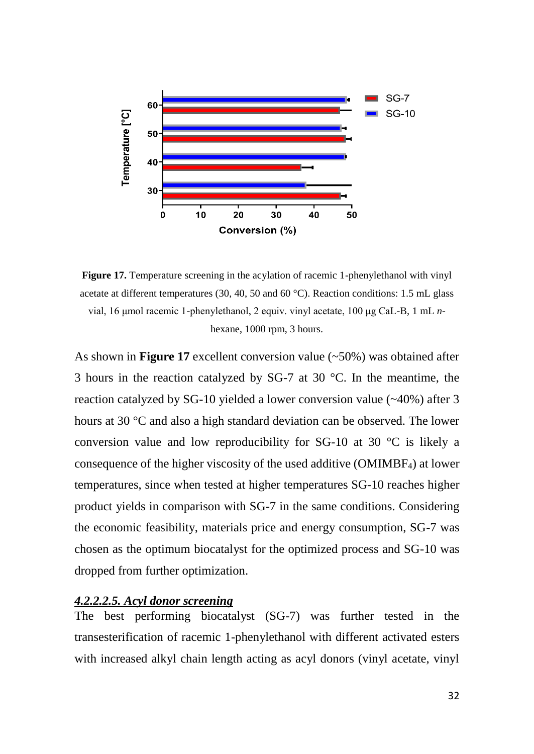

**Figure 17.** Temperature screening in the acylation of racemic 1-phenylethanol with vinyl acetate at different temperatures (30, 40, 50 and 60 °C). Reaction conditions: 1.5 mL glass vial, 16 μmol racemic 1-phenylethanol, 2 equiv. vinyl acetate, 100 μg CaL-B, 1 mL *n*hexane, 1000 rpm, 3 hours.

As shown in **Figure 17** excellent conversion value (~50%) was obtained after 3 hours in the reaction catalyzed by SG-7 at 30 °C. In the meantime, the reaction catalyzed by SG-10 yielded a lower conversion value (~40%) after 3 hours at 30 °C and also a high standard deviation can be observed. The lower conversion value and low reproducibility for SG-10 at 30 °C is likely a consequence of the higher viscosity of the used additive (OMIMBF4) at lower temperatures, since when tested at higher temperatures SG-10 reaches higher product yields in comparison with SG-7 in the same conditions. Considering the economic feasibility, materials price and energy consumption, SG-7 was chosen as the optimum biocatalyst for the optimized process and SG-10 was dropped from further optimization.

#### <span id="page-31-0"></span>*4.2.2.2.5. Acyl donor screening*

The best performing biocatalyst (SG-7) was further tested in the transesterification of racemic 1-phenylethanol with different activated esters with increased alkyl chain length acting as acyl donors (vinyl acetate, vinyl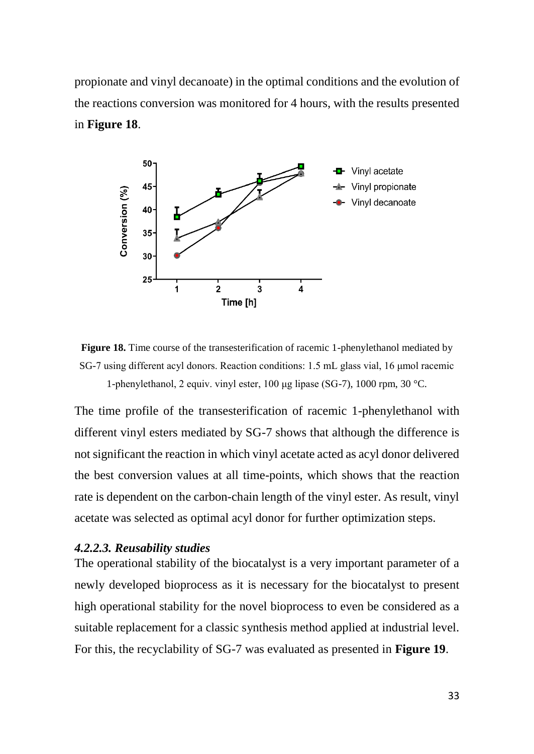propionate and vinyl decanoate) in the optimal conditions and the evolution of the reactions conversion was monitored for 4 hours, with the results presented in **Figure 18**.



**Figure 18.** Time course of the transesterification of racemic 1-phenylethanol mediated by SG-7 using different acyl donors. Reaction conditions: 1.5 mL glass vial, 16 μmol racemic 1-phenylethanol, 2 equiv. vinyl ester, 100 μg lipase (SG-7), 1000 rpm, 30 °C.

The time profile of the transesterification of racemic 1-phenylethanol with different vinyl esters mediated by SG-7 shows that although the difference is not significant the reaction in which vinyl acetate acted as acyl donor delivered the best conversion values at all time-points, which shows that the reaction rate is dependent on the carbon-chain length of the vinyl ester. As result, vinyl acetate was selected as optimal acyl donor for further optimization steps.

#### <span id="page-32-0"></span>*4.2.2.3. Reusability studies*

The operational stability of the biocatalyst is a very important parameter of a newly developed bioprocess as it is necessary for the biocatalyst to present high operational stability for the novel bioprocess to even be considered as a suitable replacement for a classic synthesis method applied at industrial level. For this, the recyclability of SG-7 was evaluated as presented in **Figure 19**.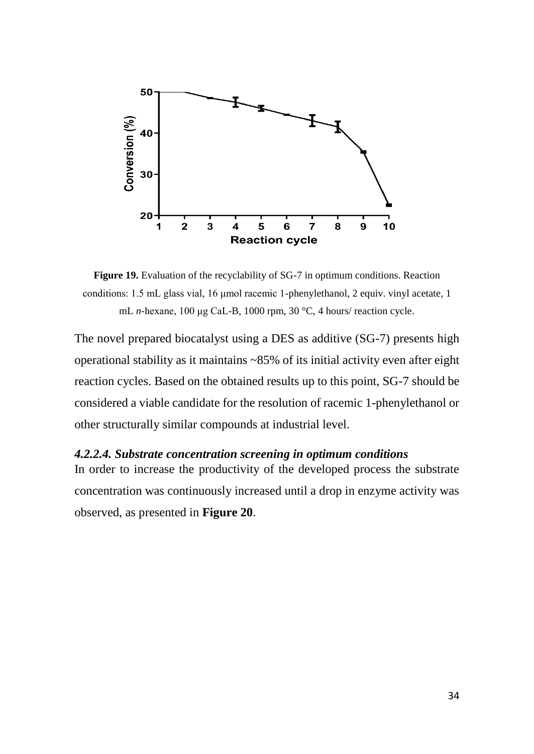

**Figure 19.** Evaluation of the recyclability of SG-7 in optimum conditions. Reaction conditions: 1.5 mL glass vial, 16 μmol racemic 1-phenylethanol, 2 equiv. vinyl acetate, 1 mL *n*-hexane, 100 μg CaL-B, 1000 rpm, 30 °C, 4 hours/ reaction cycle.

The novel prepared biocatalyst using a DES as additive (SG-7) presents high operational stability as it maintains ~85% of its initial activity even after eight reaction cycles. Based on the obtained results up to this point, SG-7 should be considered a viable candidate for the resolution of racemic 1-phenylethanol or other structurally similar compounds at industrial level.

#### <span id="page-33-0"></span>*4.2.2.4. Substrate concentration screening in optimum conditions*

In order to increase the productivity of the developed process the substrate concentration was continuously increased until a drop in enzyme activity was observed, as presented in **Figure 20**.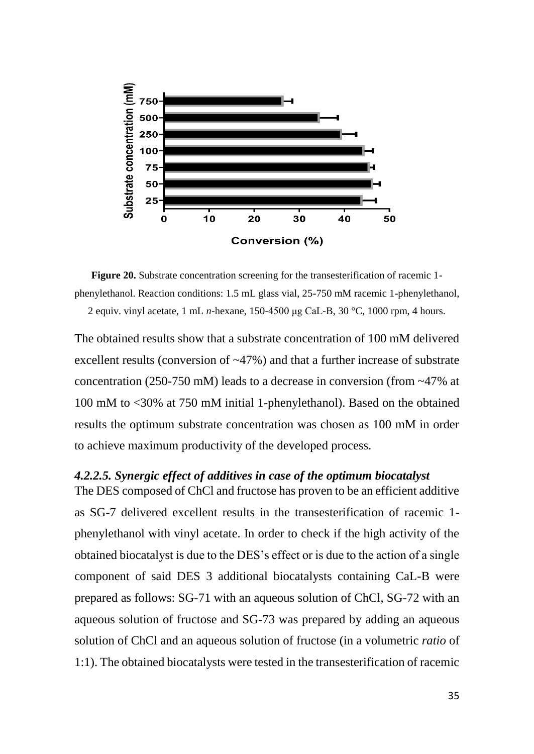

**Figure 20.** Substrate concentration screening for the transesterification of racemic 1 phenylethanol. Reaction conditions: 1.5 mL glass vial, 25-750 mM racemic 1-phenylethanol, 2 equiv. vinyl acetate, 1 mL *n*-hexane, 150-4500 μg CaL-B, 30 °C, 1000 rpm, 4 hours.

The obtained results show that a substrate concentration of 100 mM delivered excellent results (conversion of ~47%) and that a further increase of substrate concentration (250-750 mM) leads to a decrease in conversion (from ~47% at 100 mM to <30% at 750 mM initial 1-phenylethanol). Based on the obtained results the optimum substrate concentration was chosen as 100 mM in order to achieve maximum productivity of the developed process.

### <span id="page-34-0"></span>*4.2.2.5. Synergic effect of additives in case of the optimum biocatalyst*

The DES composed of ChCl and fructose has proven to be an efficient additive as SG-7 delivered excellent results in the transesterification of racemic 1 phenylethanol with vinyl acetate. In order to check if the high activity of the obtained biocatalyst is due to the DES's effect or is due to the action of a single component of said DES 3 additional biocatalysts containing CaL-B were prepared as follows: SG-71 with an aqueous solution of ChCl, SG-72 with an aqueous solution of fructose and SG-73 was prepared by adding an aqueous solution of ChCl and an aqueous solution of fructose (in a volumetric *ratio* of 1:1). The obtained biocatalysts were tested in the transesterification of racemic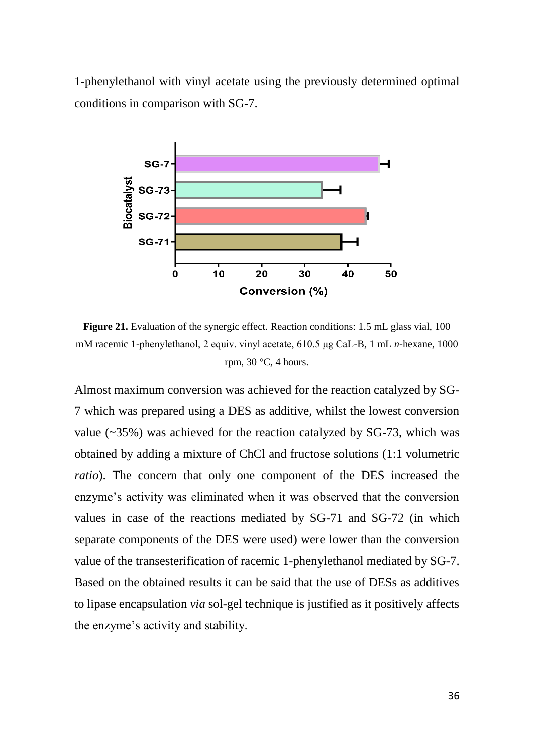1-phenylethanol with vinyl acetate using the previously determined optimal conditions in comparison with SG-7.



**Figure 21.** Evaluation of the synergic effect. Reaction conditions: 1.5 mL glass vial, 100 mM racemic 1-phenylethanol, 2 equiv. vinyl acetate, 610.5 μg CaL-B, 1 mL *n*-hexane, 1000 rpm, 30 °C, 4 hours.

Almost maximum conversion was achieved for the reaction catalyzed by SG-7 which was prepared using a DES as additive, whilst the lowest conversion value  $(-35%)$  was achieved for the reaction catalyzed by SG-73, which was obtained by adding a mixture of ChCl and fructose solutions (1:1 volumetric *ratio*). The concern that only one component of the DES increased the enzyme's activity was eliminated when it was observed that the conversion values in case of the reactions mediated by SG-71 and SG-72 (in which separate components of the DES were used) were lower than the conversion value of the transesterification of racemic 1-phenylethanol mediated by SG-7. Based on the obtained results it can be said that the use of DESs as additives to lipase encapsulation *via* sol-gel technique is justified as it positively affects the enzyme's activity and stability.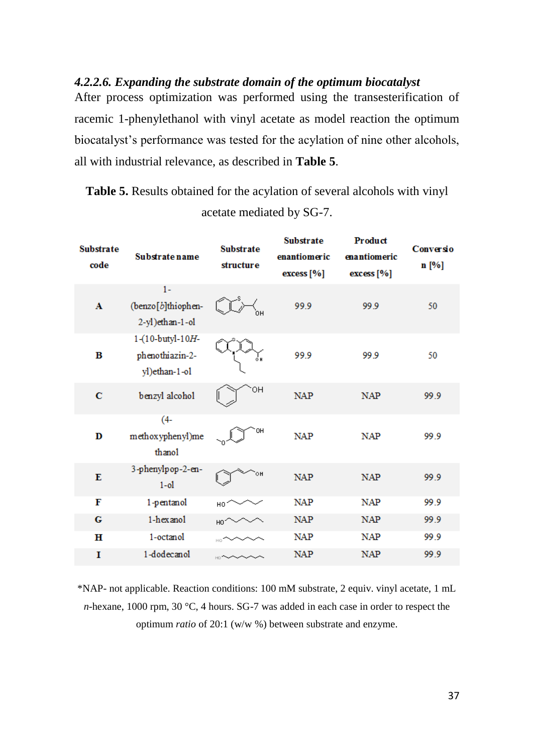### <span id="page-36-0"></span>*4.2.2.6. Expanding the substrate domain of the optimum biocatalyst*

After process optimization was performed using the transesterification of racemic 1-phenylethanol with vinyl acetate as model reaction the optimum biocatalyst's performance was tested for the acylation of nine other alcohols, all with industrial relevance, as described in **Table 5**.

**Table 5.** Results obtained for the acylation of several alcohols with vinyl acetate mediated by SG-7.

| <b>Substrate</b><br>code | <b>Substrate name</b>                                | <b>Substrate</b><br>structure | <b>Substrate</b><br>enantiomeric<br>excess [%] | Product<br>enantiomeric<br>excess [%] | Conversio<br>n [%] |
|--------------------------|------------------------------------------------------|-------------------------------|------------------------------------------------|---------------------------------------|--------------------|
| A                        | $1 -$<br>(benzo[b]thiophen-<br>2-yl)ethan-1-ol       |                               | 99.9                                           | 99.9                                  | 50                 |
| в                        | 1-(10-butyl-10H-<br>phenothiazin-2-<br>yl)ethan-1-ol | oн                            | 99.9                                           | 99.9                                  | 50                 |
| $\mathbf C$              | benzyl alcohol                                       | OН                            | <b>NAP</b>                                     | <b>NAP</b>                            | 99.9               |
| D                        | $(4 -$<br>methoxyphenyl)me<br>thanol                 | OH                            | <b>NAP</b>                                     | <b>NAP</b>                            | 99.9               |
| E                        | 3-phenylpop-2-en-<br>$1-01$                          | ٥H                            | <b>NAP</b>                                     | <b>NAP</b>                            | 99.9               |
| F                        | 1-pentanol                                           | HO                            | <b>NAP</b>                                     | <b>NAP</b>                            | 99.9               |
| G                        | 1-hexanol                                            |                               | <b>NAP</b>                                     | <b>NAP</b>                            | 99.9               |
| н                        | 1-octanol                                            |                               | <b>NAP</b>                                     | <b>NAP</b>                            | 99.9               |
| I                        | 1-dodecanol                                          |                               | <b>NAP</b>                                     | <b>NAP</b>                            | 99.9               |

\*NAP- not applicable. Reaction conditions: 100 mM substrate, 2 equiv. vinyl acetate, 1 mL *n*-hexane, 1000 rpm, 30 °C, 4 hours. SG-7 was added in each case in order to respect the optimum *ratio* of 20:1 (w/w %) between substrate and enzyme.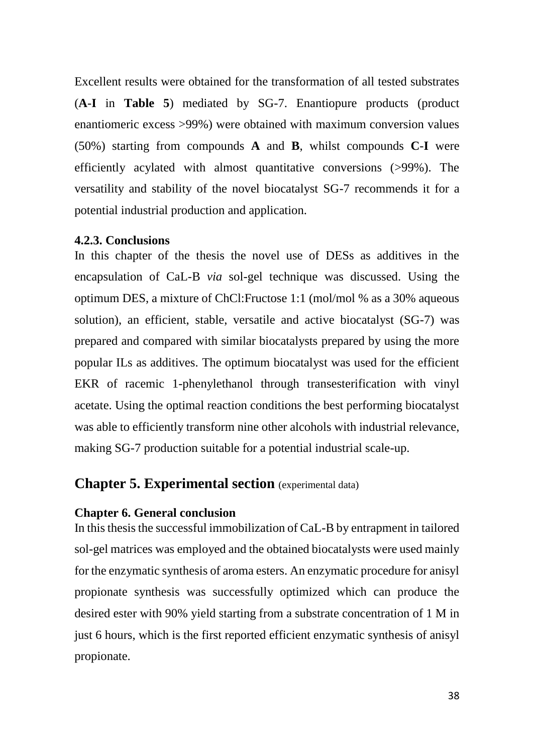Excellent results were obtained for the transformation of all tested substrates (**A**-**I** in **Table 5**) mediated by SG-7. Enantiopure products (product enantiomeric excess >99%) were obtained with maximum conversion values (50%) starting from compounds **A** and **B**, whilst compounds **C**-**I** were efficiently acylated with almost quantitative conversions (>99%). The versatility and stability of the novel biocatalyst SG-7 recommends it for a potential industrial production and application.

#### <span id="page-37-0"></span>**4.2.3. Conclusions**

In this chapter of the thesis the novel use of DESs as additives in the encapsulation of CaL-B *via* sol-gel technique was discussed. Using the optimum DES, a mixture of ChCl:Fructose 1:1 (mol/mol % as a 30% aqueous solution), an efficient, stable, versatile and active biocatalyst (SG-7) was prepared and compared with similar biocatalysts prepared by using the more popular ILs as additives. The optimum biocatalyst was used for the efficient EKR of racemic 1-phenylethanol through transesterification with vinyl acetate. Using the optimal reaction conditions the best performing biocatalyst was able to efficiently transform nine other alcohols with industrial relevance, making SG-7 production suitable for a potential industrial scale-up.

# <span id="page-37-1"></span>**Chapter 5. Experimental section** (experimental data)

#### <span id="page-37-2"></span>**Chapter 6. General conclusion**

In this thesis the successful immobilization of CaL-B by entrapment in tailored sol-gel matrices was employed and the obtained biocatalysts were used mainly for the enzymatic synthesis of aroma esters. An enzymatic procedure for anisyl propionate synthesis was successfully optimized which can produce the desired ester with 90% yield starting from a substrate concentration of 1 M in just 6 hours, which is the first reported efficient enzymatic synthesis of anisyl propionate.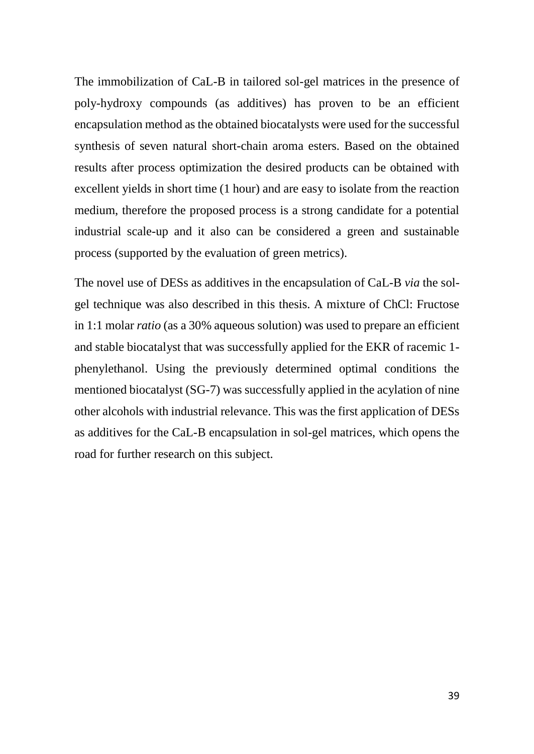The immobilization of CaL-B in tailored sol-gel matrices in the presence of poly-hydroxy compounds (as additives) has proven to be an efficient encapsulation method as the obtained biocatalysts were used for the successful synthesis of seven natural short-chain aroma esters. Based on the obtained results after process optimization the desired products can be obtained with excellent yields in short time (1 hour) and are easy to isolate from the reaction medium, therefore the proposed process is a strong candidate for a potential industrial scale-up and it also can be considered a green and sustainable process (supported by the evaluation of green metrics).

The novel use of DESs as additives in the encapsulation of CaL-B *via* the solgel technique was also described in this thesis. A mixture of ChCl: Fructose in 1:1 molar *ratio* (as a 30% aqueous solution) was used to prepare an efficient and stable biocatalyst that was successfully applied for the EKR of racemic 1 phenylethanol. Using the previously determined optimal conditions the mentioned biocatalyst (SG-7) was successfully applied in the acylation of nine other alcohols with industrial relevance. This was the first application of DESs as additives for the CaL-B encapsulation in sol-gel matrices, which opens the road for further research on this subject.